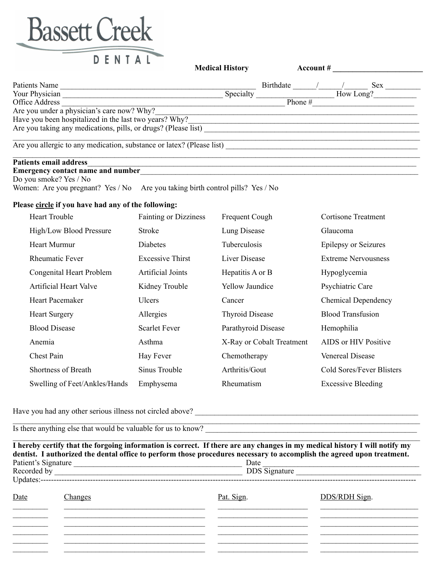

|                                                                       | <b>Medical History</b> | Account # |  |           |      |
|-----------------------------------------------------------------------|------------------------|-----------|--|-----------|------|
| Patients Name                                                         |                        | Birthdate |  |           | Sex. |
| Your Physician                                                        | Specialty              |           |  | How Long? |      |
| Office Address                                                        |                        | Phone $#$ |  |           |      |
| Are you under a physician's care now? Why?                            |                        |           |  |           |      |
| Have you been hospitalized in the last two years? Why?                |                        |           |  |           |      |
| Are you taking any medications, pills, or drugs? (Please list)        |                        |           |  |           |      |
| Are you allergic to any medication, substance or latex? (Please list) |                        |           |  |           |      |
| <b>Patients email address</b>                                         |                        |           |  |           |      |

**Emergency contact name and number** Do you smoke? Yes / No

Women: Are you pregnant? Yes / No Are you taking birth control pills? Yes / No

## **Please circle if you have had any of the following:**

| <b>Heart Trouble</b>          | <b>Fainting or Dizziness</b> | Frequent Cough            | <b>Cortisone Treatment</b>  |
|-------------------------------|------------------------------|---------------------------|-----------------------------|
| High/Low Blood Pressure       | Stroke                       | Lung Disease              | <b>Glaucoma</b>             |
| Heart Murmur                  | Diabetes                     | Tuberculosis              | <b>Epilepsy or Seizures</b> |
| <b>Rheumatic Fever</b>        | <b>Excessive Thirst</b>      | Liver Disease             | <b>Extreme Nervousness</b>  |
| Congenital Heart Problem      | Artificial Joints            | Hepatitis A or B          | Hypoglycemia                |
| <b>Artificial Heart Valve</b> | Kidney Trouble               | <b>Yellow Jaundice</b>    | Psychiatric Care            |
| <b>Heart Pacemaker</b>        | Ulcers                       | Cancer                    | <b>Chemical Dependency</b>  |
| <b>Heart Surgery</b>          | Allergies                    | <b>Thyroid Disease</b>    | <b>Blood Transfusion</b>    |
| <b>Blood Disease</b>          | <b>Scarlet Fever</b>         | Parathyroid Disease       | Hemophilia                  |
| Anemia                        | Asthma                       | X-Ray or Cobalt Treatment | AIDS or HIV Positive        |
| Chest Pain                    | Hay Fever                    | Chemotherapy              | <b>Venereal Disease</b>     |
| Shortness of Breath           | Sinus Trouble                | Arthritis/Gout            | Cold Sores/Fever Blisters   |
| Swelling of Feet/Ankles/Hands | Emphysema                    | Rheumatism                | <b>Excessive Bleeding</b>   |

Have you had any other serious illness not circled above? \_\_\_\_\_\_\_\_\_\_\_\_\_\_\_\_\_\_\_\_\_\_\_\_\_\_\_\_\_\_\_\_\_\_\_\_\_\_\_\_\_\_\_\_\_\_\_\_\_\_\_\_\_\_\_\_\_

Is there anything else that would be valuable for us to know?

|                     |         | dentist. I authorized the dental office to perform those procedures necessary to accomplish the agreed upon treatment. | I hereby certify that the forgoing information is correct. If there are any changes in my medical history I will notify my |  |  |
|---------------------|---------|------------------------------------------------------------------------------------------------------------------------|----------------------------------------------------------------------------------------------------------------------------|--|--|
| Patient's Signature |         | Date                                                                                                                   |                                                                                                                            |  |  |
|                     |         |                                                                                                                        | <b>DDS</b> Signature                                                                                                       |  |  |
|                     |         |                                                                                                                        |                                                                                                                            |  |  |
| Date                | hanges: | Pat. Sign.                                                                                                             | DDS/RDH Sign.                                                                                                              |  |  |
|                     |         |                                                                                                                        |                                                                                                                            |  |  |
|                     |         |                                                                                                                        |                                                                                                                            |  |  |
|                     |         |                                                                                                                        |                                                                                                                            |  |  |
|                     |         |                                                                                                                        |                                                                                                                            |  |  |

 $\mathcal{L}_\mathcal{L} = \mathcal{L}_\mathcal{L} = \mathcal{L}_\mathcal{L} = \mathcal{L}_\mathcal{L} = \mathcal{L}_\mathcal{L} = \mathcal{L}_\mathcal{L} = \mathcal{L}_\mathcal{L} = \mathcal{L}_\mathcal{L} = \mathcal{L}_\mathcal{L} = \mathcal{L}_\mathcal{L} = \mathcal{L}_\mathcal{L} = \mathcal{L}_\mathcal{L} = \mathcal{L}_\mathcal{L} = \mathcal{L}_\mathcal{L} = \mathcal{L}_\mathcal{L} = \mathcal{L}_\mathcal{L} = \mathcal{L}_\mathcal{L}$ 

 $\_$